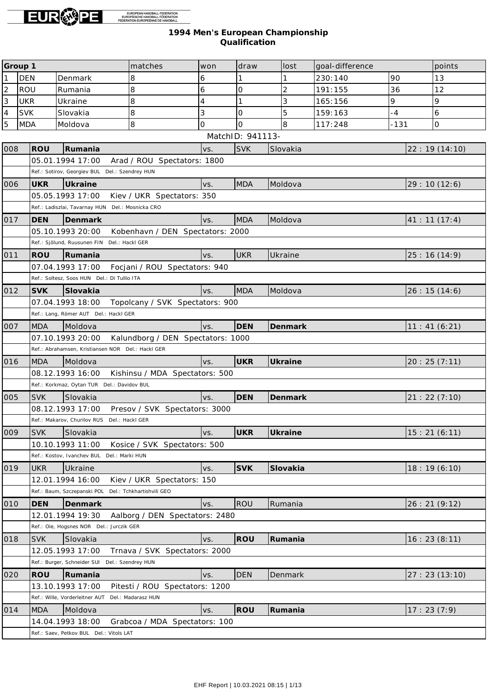

|                | Group 1    |                                                       | matches                           | won | draw             |  | lost     | goal-difference |        | points        |
|----------------|------------|-------------------------------------------------------|-----------------------------------|-----|------------------|--|----------|-----------------|--------|---------------|
| $\mathbf{1}$   | <b>DEN</b> | Denmark                                               | 8                                 | 6   |                  |  |          | 230:140         | 90     | 13            |
| $\overline{c}$ | ROU        | Rumania                                               | 8                                 | 6   | 0                |  | 2        | 191:155         | 36     | 12            |
| $\overline{3}$ | <b>UKR</b> | Ukraine                                               | 8                                 | 4   |                  |  | 3        | 165:156         | 9      | 9             |
| $\vert_4$      | <b>SVK</b> | Slovakia                                              | 8                                 | 3   | $\mathcal{O}$    |  | 5        | 159:163         | $-4$   | 6             |
| 5              | <b>MDA</b> | Moldova                                               | 8                                 | O   | $\mathbf{O}$     |  | 8        | 117:248         | $-131$ | $\mathsf{O}$  |
|                |            |                                                       |                                   |     | MatchID: 941113- |  |          |                 |        |               |
| 008            | <b>ROU</b> | Rumania                                               |                                   | VS. | <b>SVK</b>       |  | Slovakia |                 |        | 22: 19(14:10) |
|                |            | 05.01.1994 17:00                                      | Arad / ROU Spectators: 1800       |     |                  |  |          |                 |        |               |
|                |            | Ref.: Sotirov, Georgiev BUL Del.: Szendrey HUN        |                                   |     |                  |  |          |                 |        |               |
| 006            | <b>UKR</b> | Ukraine                                               |                                   | VS. | <b>MDA</b>       |  | Moldova  |                 |        | 29:10(12:6)   |
|                |            | 05.05.1993 17:00                                      | Kiev / UKR Spectators: 350        |     |                  |  |          |                 |        |               |
|                |            | Ref.: Ladiszlai, Tavarnay HUN Del.: Mosnicka CRO      |                                   |     |                  |  |          |                 |        |               |
| 017            | <b>DEN</b> | Denmark                                               |                                   | VS. | <b>MDA</b>       |  | Moldova  |                 |        | 41: 11(17:4)  |
|                |            | 05.10.1993 20:00                                      | Kobenhavn / DEN Spectators: 2000  |     |                  |  |          |                 |        |               |
|                |            | Ref.: Sjölund, Ruusunen FIN Del.: Hackl GER           |                                   |     |                  |  |          |                 |        |               |
| 011            | ROU        | Rumania                                               |                                   | VS. | <b>UKR</b>       |  | Ukraine  |                 |        | 25:16(14:9)   |
|                |            | 07.04.1993 17:00                                      | Focjani / ROU Spectators: 940     |     |                  |  |          |                 |        |               |
|                |            | Ref.: Soltesz, Soos HUN Del.: Di Tullio ITA           |                                   |     |                  |  |          |                 |        |               |
| 012            | <b>SVK</b> | Slovakia                                              |                                   | VS. | <b>MDA</b>       |  | Moldova  |                 |        | 26:15(14:6)   |
|                |            | 07.04.1993 18:00                                      | Topolcany / SVK Spectators: 900   |     |                  |  |          |                 |        |               |
|                |            | Ref.: Lang, Römer AUT Del.: Hackl GER                 |                                   |     |                  |  |          |                 |        |               |
| 007            | <b>MDA</b> | Moldova                                               |                                   | VS. | <b>DEN</b>       |  | Denmark  |                 |        | 11: 41(6:21)  |
|                |            | 07.10.1993 20:00                                      | Kalundborg / DEN Spectators: 1000 |     |                  |  |          |                 |        |               |
|                |            | Ref.: Abrahamsen, Kristiansen NOR Del.: Hackl GER     |                                   |     |                  |  |          |                 |        |               |
| 016            | <b>MDA</b> | Moldova                                               |                                   | VS. | <b>UKR</b>       |  | Ukraine  |                 |        | 20:25(7:11)   |
|                |            | 08.12.1993 16:00                                      | Kishinsu / MDA Spectators: 500    |     |                  |  |          |                 |        |               |
|                |            | Ref.: Korkmaz, Oytan TUR Del.: Davidov BUL            |                                   |     |                  |  |          |                 |        |               |
| 005            | <b>SVK</b> | Slovakia                                              |                                   | VS. | <b>DEN</b>       |  | Denmark  |                 |        | 21:22(7:10)   |
|                |            | 08.12.1993 17:00                                      | Presov / SVK Spectators: 3000     |     |                  |  |          |                 |        |               |
|                |            | Ref.: Makarov, Churilov RUS Del.: Hackl GER           |                                   |     |                  |  |          |                 |        |               |
| 009            | <b>SVK</b> | Slovakia                                              |                                   | VS. | UKR              |  | Ukraine  |                 |        | 15:21(6:11)   |
|                |            | 10.10.1993 11:00                                      | Kosice / SVK Spectators: 500      |     |                  |  |          |                 |        |               |
|                |            | Ref.: Kostov, Ivanchev BUL Del.: Marki HUN            |                                   |     |                  |  |          |                 |        |               |
| 019            | <b>UKR</b> | Ukraine                                               |                                   | VS. | <b>SVK</b>       |  | Slovakia |                 |        | 18:19(6:10)   |
|                |            | 12.01.1994 16:00                                      | Kiev / UKR Spectators: 150        |     |                  |  |          |                 |        |               |
|                |            | Ref.: Baum, Szczepanski POL Del.: Tchkhartishvili GEO |                                   |     |                  |  |          |                 |        |               |
| 010            | <b>DEN</b> | Denmark                                               |                                   | VS. | ROU              |  | Rumania  |                 |        | 26:21(9:12)   |
|                |            | 12.01.1994 19:30                                      | Aalborg / DEN Spectators: 2480    |     |                  |  |          |                 |        |               |
|                |            | Ref.: Oie, Hogsnes NOR Del.: Jurczik GER              |                                   |     |                  |  |          |                 |        |               |
| 018            | <b>SVK</b> | Slovakia                                              |                                   | VS. | ROU              |  | Rumania  |                 |        | 16:23(8:11)   |
|                |            | 12.05.1993 17:00                                      | Trnava / SVK Spectators: 2000     |     |                  |  |          |                 |        |               |
|                |            | Ref.: Burger, Schneider SUI Del.: Szendrey HUN        |                                   |     |                  |  |          |                 |        |               |
| 020            | <b>ROU</b> | Rumania                                               |                                   | VS. | <b>DEN</b>       |  | Denmark  |                 |        | 27:23(13:10)  |
|                |            | 13.10.1993 17:00                                      | Pitesti / ROU Spectators: 1200    |     |                  |  |          |                 |        |               |
|                |            | Ref.: Wille, Vorderleitner AUT                        | Del.: Madarasz HUN                |     |                  |  |          |                 |        |               |
| 014            | <b>MDA</b> | Moldova                                               |                                   | VS. | ROU              |  | Rumania  |                 |        | 17:23(7:9)    |
|                |            | 14.04.1993 18:00                                      | Grabcoa / MDA Spectators: 100     |     |                  |  |          |                 |        |               |
|                |            | Ref.: Saev, Petkov BUL Del.: Vitols LAT               |                                   |     |                  |  |          |                 |        |               |
|                |            |                                                       |                                   |     |                  |  |          |                 |        |               |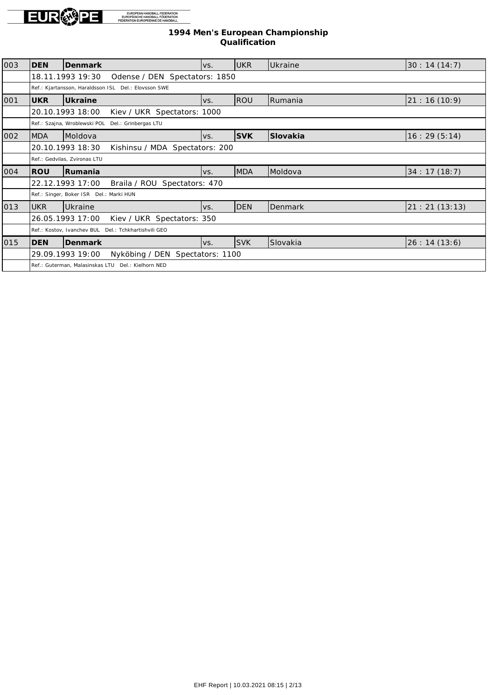

| 003 | <b>DEN</b>                   | Denmark                                              | VS. | <b>UKR</b> | lUkraine        | 30: 14 (14: 7) |  |  |
|-----|------------------------------|------------------------------------------------------|-----|------------|-----------------|----------------|--|--|
|     |                              | 18.11.1993 19:30<br>Odense / DEN Spectators: 1850    |     |            |                 |                |  |  |
|     |                              | Ref.: Kjartansson, Haraldsson ISL Del.: Elovsson SWE |     |            |                 |                |  |  |
| 001 | <b>UKR</b>                   | Ukraine                                              | VS. | ROU        | Rumania         | 21: 16(10:9)   |  |  |
|     |                              | 20.10.1993 18:00<br>Kiev / UKR Spectators: 1000      |     |            |                 |                |  |  |
|     |                              | Ref.: Szajna, Wroblewski POL Del.: Grinbergas LTU    |     |            |                 |                |  |  |
| 002 | MDA                          | <b>IMoldova</b>                                      | VS. | <b>SVK</b> | Slovakia        | 16: 29(5:14)   |  |  |
|     |                              | 20.10.1993 18:30<br>Kishinsu / MDA Spectators: 200   |     |            |                 |                |  |  |
|     | Ref.: Gedvilas, Zvironas LTU |                                                      |     |            |                 |                |  |  |
| 004 | <b>ROU</b>                   | Rumania                                              | VS. | <b>MDA</b> | <b>IMoldova</b> | 34:17(18:7)    |  |  |
|     |                              | 22.12.1993 17:00<br>Braila / ROU Spectators: 470     |     |            |                 |                |  |  |
|     |                              | Ref.: Singer, Boker ISR Del.: Marki HUN              |     |            |                 |                |  |  |
| 013 | <b>UKR</b>                   | Ukraine                                              | VS. | <b>DEN</b> | Denmark         | 21: 21 (13:13) |  |  |
|     |                              | 26.05.1993 17:00<br>Kiev / UKR Spectators: 350       |     |            |                 |                |  |  |
|     |                              | Ref.: Kostov, Ivanchev BUL Del.: Tchkhartishvili GEO |     |            |                 |                |  |  |
| 015 | <b>DEN</b>                   | Denmark                                              | VS. | <b>SVK</b> | <b>Slovakia</b> | 26:14(13:6)    |  |  |
|     |                              | Nyköbing / DEN Spectators: 1100<br>29.09.1993 19:00  |     |            |                 |                |  |  |
|     |                              | Ref.: Guterman, Malasinskas LTU Del.: Kielhorn NED   |     |            |                 |                |  |  |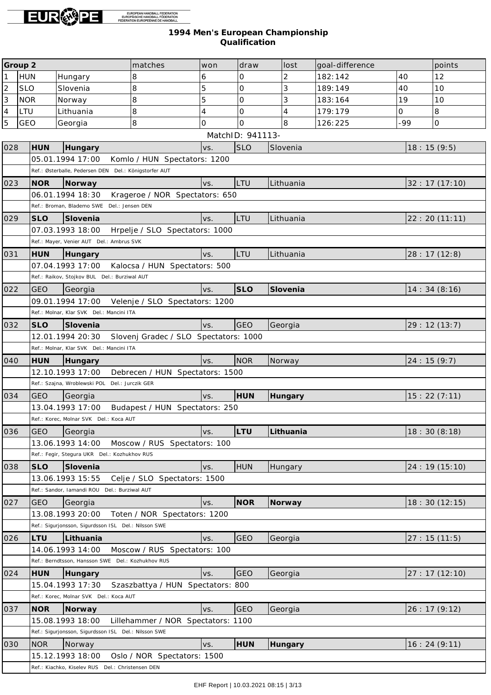

|                | Group 2    |                                                        | matches                            | won                   | draw             | lost           | goal-difference |            | points         |
|----------------|------------|--------------------------------------------------------|------------------------------------|-----------------------|------------------|----------------|-----------------|------------|----------------|
| $\mathbf{1}$   | <b>HUN</b> | Hungary                                                | 8                                  | 6                     | 0                | 2              | 182:142         | 40         | 12             |
| $\overline{c}$ | <b>SLO</b> | Slovenia                                               | 8                                  | 5                     | 0                | 3              | 189:149         | 40         | 10             |
| $\overline{3}$ | <b>NOR</b> | Norway                                                 | 8                                  | 5                     | 0                | 3              | 183:164         | 19         | 10             |
| $\overline{4}$ | LTU        | Lithuania                                              | 8                                  | 4                     | 0                | $\overline{4}$ | 179:179         | $\Omega$   | 8              |
| $\overline{5}$ | GEO        | Georgia                                                | 8                                  | 0                     | $\Omega$         | 8              | 126:225         | -99        | lo.            |
|                |            |                                                        |                                    |                       | MatchID: 941113- |                |                 |            |                |
| 028            | HUN        | Hungary                                                |                                    | VS.                   | <b>SLO</b>       | Slovenia       |                 | 18:15(9:5) |                |
|                |            | 05.01.1994 17:00                                       | Komlo / HUN Spectators: 1200       |                       |                  |                |                 |            |                |
|                |            | Ref.: Østerballe, Pedersen DEN Del.: Königstorfer AUT  |                                    |                       |                  |                |                 |            |                |
| 023            | <b>NOR</b> | Norway                                                 |                                    | VS.                   | LTU              | Lithuania      |                 |            | 32:17(17:10)   |
|                |            | 06.01.1994 18:30                                       | Krageroe / NOR Spectators: 650     |                       |                  |                |                 |            |                |
|                |            | Ref.: Broman, Blademo SWE Del.: Jensen DEN             |                                    |                       |                  |                |                 |            |                |
| 029            | <b>SLO</b> | Slovenia                                               |                                    | VS.                   | LTU              | Lithuania      |                 |            | 22: 20(11:11)  |
|                |            | 07.03.1993 18:00 Hrpelje / SLO Spectators: 1000        |                                    |                       |                  |                |                 |            |                |
|                |            | Ref.: Mayer, Venier AUT Del.: Ambrus SVK               |                                    |                       |                  |                |                 |            |                |
| 031            | <b>HUN</b> | Hungary                                                |                                    | VS.                   | LTU              | Lithuania      |                 |            | 28:17(12:8)    |
|                |            | 07.04.1993 17:00                                       | Kalocsa / HUN Spectators: 500      |                       |                  |                |                 |            |                |
|                |            | Ref.: Raikov, Stojkov BUL Del.: Burziwal AUT           |                                    |                       |                  |                |                 |            |                |
| 022            | <b>GEO</b> | Georgia                                                |                                    | VS.                   | <b>SLO</b>       | Slovenia       |                 |            | 14:34(8:16)    |
|                |            | 09.01.1994 17:00                                       | Velenje / SLO Spectators: 1200     |                       |                  |                |                 |            |                |
|                |            | Ref.: Molnar, Klar SVK Del.: Mancini ITA               |                                    |                       |                  |                |                 |            |                |
| 032            | <b>SLO</b> | Slovenia                                               |                                    | VS.                   | <b>GEO</b>       | Georgia        |                 |            | 29:12 (13:7)   |
|                |            | 12.01.1994 20:30 Slovenj Gradec / SLO Spectators: 1000 |                                    |                       |                  |                |                 |            |                |
|                |            | Ref.: Molnar, Klar SVK Del.: Mancini ITA               |                                    |                       |                  |                |                 |            |                |
| 040            | <b>HUN</b> | Hungary                                                |                                    | VS.                   | <b>NOR</b>       | Norway         |                 | 24:15(9:7) |                |
|                |            | 12.10.1993 17:00                                       | Debrecen / HUN Spectators: 1500    |                       |                  |                |                 |            |                |
|                |            | Ref.: Szajna, Wroblewski POL Del.: Jurczik GER         |                                    |                       |                  |                |                 |            |                |
| 034            | <b>GEO</b> | Georgia                                                |                                    | VS.                   | <b>HUN</b>       | Hungary        |                 |            | 15:22(7:11)    |
|                |            | 13.04.1993 17:00                                       | Budapest / HUN Spectators: 250     |                       |                  |                |                 |            |                |
|                |            | Ref.: Korec, Molnar SVK Del.: Koca AUT                 |                                    |                       |                  |                |                 |            |                |
| 036            | GEO        | Georgia                                                |                                    | $\sqrt{\mathsf{vs.}}$ | LTU              | Lithuania      |                 |            | 18:30(8:18)    |
|                |            | 13.06.1993 14:00                                       | Moscow / RUS Spectators: 100       |                       |                  |                |                 |            |                |
|                |            | Ref.: Fegir, Stegura UKR Del.: Kozhukhov RUS           |                                    |                       |                  |                |                 |            |                |
| 038            | <b>SLO</b> | Slovenia                                               |                                    | VS.                   | <b>HUN</b>       | Hungary        |                 |            | 24:19(15:10)   |
|                |            | 13.06.1993 15:55                                       | Celje / SLO Spectators: 1500       |                       |                  |                |                 |            |                |
|                |            | Ref.: Sandor, Iamandi ROU Del.: Burziwal AUT           |                                    |                       |                  |                |                 |            |                |
| 027            | <b>GEO</b> | Georgia                                                |                                    | VS.                   | <b>NOR</b>       | Norway         |                 |            | 18:30(12:15)   |
|                |            | 13.08.1993 20:00                                       | Toten / NOR Spectators: 1200       |                       |                  |                |                 |            |                |
|                |            | Ref.: Sigurjonsson, Sigurdsson ISL Del.: Nilsson SWE   |                                    |                       |                  |                |                 |            |                |
| 026            | LTU        | Lithuania                                              |                                    | VS.                   | <b>GEO</b>       | Georgia        |                 |            | 27:15(11:5)    |
|                |            | 14.06.1993 14:00                                       | Moscow / RUS Spectators: 100       |                       |                  |                |                 |            |                |
|                |            | Ref.: Berndtsson, Hansson SWE Del.: Kozhukhov RUS      |                                    |                       |                  |                |                 |            |                |
| 024            | <b>HUN</b> | Hungary                                                |                                    | VS.                   | <b>GEO</b>       | Georgia        |                 |            | 27: 17 (12:10) |
|                |            | 15.04.1993 17:30                                       | Szaszbattya / HUN Spectators: 800  |                       |                  |                |                 |            |                |
|                |            | Ref.: Korec, Molnar SVK Del.: Koca AUT                 |                                    |                       |                  |                |                 |            |                |
| 037            | <b>NOR</b> | Norway                                                 |                                    | VS.                   | GEO              | Georgia        |                 |            | 26:17(9:12)    |
|                |            | 15.08.1993 18:00                                       | Lillehammer / NOR Spectators: 1100 |                       |                  |                |                 |            |                |
|                |            | Ref.: Sigurjonsson, Sigurdsson ISL Del.: Nilsson SWE   |                                    |                       |                  |                |                 |            |                |
| 030            | <b>NOR</b> | Norway                                                 |                                    | VS.                   | <b>HUN</b>       | Hungary        |                 |            | 16:24(9:11)    |
|                |            | 15.12.1993 18:00                                       | Oslo / NOR Spectators: 1500        |                       |                  |                |                 |            |                |
|                |            | Ref.: Kiachko, Kiselev RUS Del.: Christensen DEN       |                                    |                       |                  |                |                 |            |                |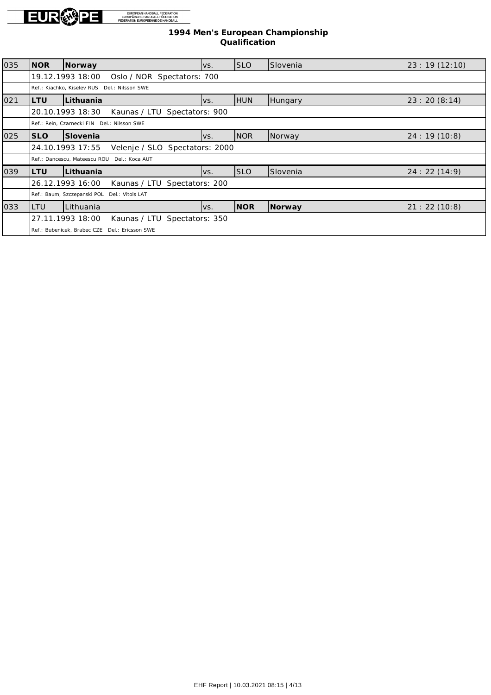

| 035 | INOR        | Norway                                             | VS.  | <b>SLO</b> | Slovenia | 23:19(12:10) |
|-----|-------------|----------------------------------------------------|------|------------|----------|--------------|
|     |             | 19.12.1993 18:00<br>Oslo / NOR Spectators: 700     |      |            |          |              |
|     |             | Ref.: Kiachko, Kiselev RUS Del.: Nilsson SWE       |      |            |          |              |
| 021 | ILTU        | Lithuania                                          | IVS. | <b>HUN</b> | Hungary  | 23:20(8:14)  |
|     |             | 20.10.1993 18:30<br>Kaunas / LTU Spectators: 900   |      |            |          |              |
|     |             | Ref.: Rein, Czarnecki FIN Del.: Nilsson SWE        |      |            |          |              |
| 025 | <b>ISLO</b> | Slovenia                                           | VS.  | <b>NOR</b> | Norway   | 24:19(10:8)  |
|     |             | 24.10.1993 17:55<br>Velenje / SLO Spectators: 2000 |      |            |          |              |
|     |             | Ref.: Dancescu, Mateescu ROU Del.: Koca AUT        |      |            |          |              |
| 039 | ILTU        | Lithuania                                          | lvs. | <b>SLO</b> | Slovenia | 24:22(14:9)  |
|     |             | 26.12.1993 16:00<br>Kaunas / LTU Spectators: 200   |      |            |          |              |
|     |             | Ref.: Baum, Szczepanski POL Del.: Vitols LAT       |      |            |          |              |
| 033 | <b>LTU</b>  | Lithuania                                          | IVS. | <b>NOR</b> | Norway   | 21:22(10:8)  |
|     |             | 27.11.1993 18:00<br>Kaunas / LTU Spectators: 350   |      |            |          |              |
|     |             | Ref.: Bubenicek, Brabec CZE Del.: Ericsson SWE     |      |            |          |              |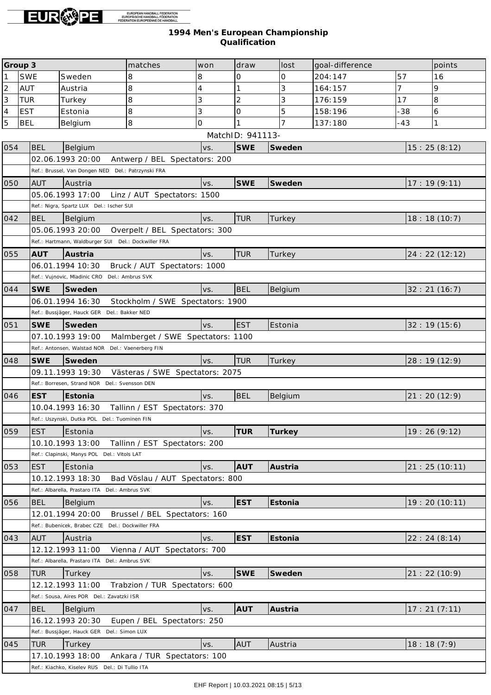

| Group <sub>3</sub><br>matches<br>draw<br>lost<br>goal-difference<br>won |            | points                                              |                                   |                |                  |                     |         |       |               |
|-------------------------------------------------------------------------|------------|-----------------------------------------------------|-----------------------------------|----------------|------------------|---------------------|---------|-------|---------------|
| $\mathbf{1}$                                                            | <b>SWE</b> | Sweden                                              | 8                                 | 8              | 0                | $\mathsf{O}\xspace$ | 204:147 | 57    | 16            |
| $\overline{c}$                                                          | <b>AUT</b> | Austria                                             | 8                                 | $\overline{4}$ |                  | 3                   | 164:157 | 7     | 9             |
| $\overline{3}$                                                          | <b>TUR</b> | Turkey                                              | 8                                 | 3              | $\overline{c}$   | 3                   | 176:159 | 17    | 8             |
| $\overline{4}$                                                          | <b>EST</b> | Estonia                                             | 8                                 | 3              | $\Omega$         | 5                   | 158:196 | $-38$ | 6             |
| $\overline{5}$                                                          | <b>BEL</b> | Belgium                                             | 8                                 | 0              |                  |                     | 137:180 | $-43$ | $\mathbf{1}$  |
|                                                                         |            |                                                     |                                   |                | MatchID: 941113- |                     |         |       |               |
| 054                                                                     | BEL        | <b>Belgium</b>                                      |                                   | VS.            | <b>SWE</b>       | Sweden              |         |       | 15:25(8:12)   |
|                                                                         |            | 02.06.1993 20:00                                    | Antwerp / BEL Spectators: 200     |                |                  |                     |         |       |               |
|                                                                         |            | Ref.: Brussel, Van Dongen NED Del.: Patrzynski FRA  |                                   |                |                  |                     |         |       |               |
| 050                                                                     | <b>AUT</b> | Austria                                             |                                   | VS.            | <b>SWE</b>       | Sweden              |         |       | 17:19(9:11)   |
|                                                                         |            | 05.06.1993 17:00                                    | Linz / AUT Spectators: 1500       |                |                  |                     |         |       |               |
|                                                                         |            | Ref.: Nigra, Spartz LUX Del.: Ischer SUI            |                                   |                |                  |                     |         |       |               |
| 042                                                                     | <b>BEL</b> | Belgium                                             |                                   | VS.            | <b>TUR</b>       | Turkey              |         |       | 18:18(10:7)   |
|                                                                         |            | 05.06.1993 20:00                                    | Overpelt / BEL Spectators: 300    |                |                  |                     |         |       |               |
|                                                                         |            | Ref.: Hartmann, Waldburger SUI Del.: Dockwiller FRA |                                   |                |                  |                     |         |       |               |
| 055                                                                     | <b>AUT</b> | Austria                                             |                                   | VS.            | <b>TUR</b>       | Turkey              |         |       | 24:22(12:12)  |
|                                                                         |            | 06.01.1994 10:30                                    | Bruck / AUT Spectators: 1000      |                |                  |                     |         |       |               |
|                                                                         |            | Ref.: Vujnovic, Mladinic CRO Del.: Ambrus SVK       |                                   |                |                  |                     |         |       |               |
| 044                                                                     | <b>SWE</b> | Sweden                                              |                                   | VS.            | <b>BEL</b>       | Belgium             |         |       | 32:21(16:7)   |
|                                                                         |            | 06.01.1994 16:30                                    | Stockholm / SWE Spectators: 1900  |                |                  |                     |         |       |               |
|                                                                         |            | Ref.: Bussjäger, Hauck GER Del.: Bakker NED         |                                   |                |                  |                     |         |       |               |
| 051                                                                     | <b>SWE</b> | Sweden                                              |                                   | VS.            | <b>EST</b>       | Estonia             |         |       | 32:19(15:6)   |
|                                                                         |            | 07.10.1993 19:00                                    | Malmberget / SWE Spectators: 1100 |                |                  |                     |         |       |               |
|                                                                         |            | Ref.: Antonsen, Walstad NOR Del.: Vaenerberg FIN    |                                   |                |                  |                     |         |       |               |
| 048                                                                     | <b>SWE</b> | Sweden                                              |                                   | VS.            | <b>TUR</b>       | Turkey              |         |       | 28:19 (12:9)  |
|                                                                         |            | 09.11.1993 19:30                                    | Västeras / SWE Spectators: 2075   |                |                  |                     |         |       |               |
|                                                                         |            | Ref.: Borresen, Strand NOR Del.: Svensson DEN       |                                   |                |                  |                     |         |       |               |
| 046                                                                     | <b>EST</b> | Estonia                                             |                                   | VS.            | <b>BEL</b>       | Belgium             |         |       | 21:20(12:9)   |
|                                                                         |            | 10.04.1993 16:30                                    | Tallinn / EST Spectators: 370     |                |                  |                     |         |       |               |
|                                                                         |            | Ref.: Uszynski, Dutka POL Del.: Tuominen FIN        |                                   |                |                  |                     |         |       |               |
| 059                                                                     | <b>EST</b> | Estonia                                             |                                   | VS.            | <b>TUR</b>       | Turkey              |         |       | 19:26 (9:12)  |
|                                                                         |            | 10.10.1993 13:00                                    | Tallinn / EST Spectators: 200     |                |                  |                     |         |       |               |
|                                                                         |            | Ref.: Clapinski, Manys POL Del.: Vitols LAT         |                                   |                |                  |                     |         |       |               |
| 053                                                                     | <b>EST</b> | Estonia                                             |                                   | VS.            | <b>AUT</b>       | Austria             |         |       | 21:25(10:11)  |
|                                                                         |            | 10.12.1993 18:30                                    | Bad Vöslau / AUT Spectators: 800  |                |                  |                     |         |       |               |
|                                                                         |            | Ref.: Albarella, Prastaro ITA Del.: Ambrus SVK      |                                   |                |                  |                     |         |       |               |
| 056                                                                     | <b>BEL</b> | Belgium                                             |                                   | VS.            | <b>EST</b>       | Estonia             |         |       | 19:20 (10:11) |
|                                                                         |            | 12.01.1994 20:00                                    | Brussel / BEL Spectators: 160     |                |                  |                     |         |       |               |
|                                                                         |            | Ref.: Bubenicek, Brabec CZE Del.: Dockwiller FRA    |                                   |                |                  |                     |         |       |               |
| 043                                                                     | <b>AUT</b> | Austria                                             |                                   | VS.            | <b>EST</b>       | Estonia             |         |       | 22: 24(8:14)  |
|                                                                         |            | 12.12.1993 11:00                                    | Vienna / AUT Spectators: 700      |                |                  |                     |         |       |               |
|                                                                         |            | Ref.: Albarella, Prastaro ITA Del.: Ambrus SVK      |                                   |                |                  |                     |         |       |               |
| 058                                                                     | <b>TUR</b> | Turkey                                              |                                   | VS.            | <b>SWE</b>       | Sweden              |         |       | 21:22(10:9)   |
|                                                                         |            | 12.12.1993 11:00                                    | Trabzion / TUR Spectators: 600    |                |                  |                     |         |       |               |
|                                                                         |            | Ref.: Sousa, Aires POR Del.: Zavatzki ISR           |                                   |                |                  |                     |         |       |               |
| 047                                                                     | <b>BEL</b> | Belgium                                             |                                   | VS.            | <b>AUT</b>       | Austria             |         |       | 17:21(7:11)   |
|                                                                         |            | 16.12.1993 20:30                                    | Eupen / BEL Spectators: 250       |                |                  |                     |         |       |               |
|                                                                         |            | Ref.: Bussjäger, Hauck GER Del.: Simon LUX          |                                   |                |                  |                     |         |       |               |
| 045                                                                     | <b>TUR</b> | Turkey                                              |                                   | VS.            | <b>AUT</b>       | Austria             |         |       | 18:18(7:9)    |
|                                                                         |            | 17.10.1993 18:00                                    | Ankara / TUR Spectators: 100      |                |                  |                     |         |       |               |
|                                                                         |            | Ref.: Kiachko, Kiselev RUS Del.: Di Tullio ITA      |                                   |                |                  |                     |         |       |               |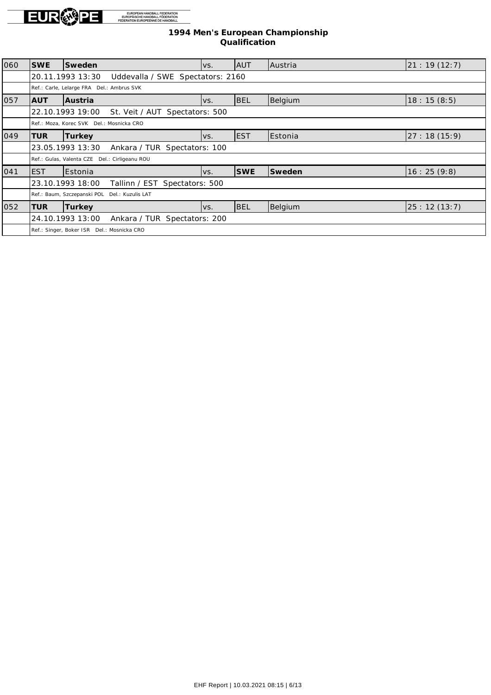

| 060 | <b>SWE</b> | Sweden                                               | VS.  | <b>AUT</b> | Austria        | 21: 19(12:7) |
|-----|------------|------------------------------------------------------|------|------------|----------------|--------------|
|     |            | Uddevalla / SWE Spectators: 2160<br>20.11.1993 13:30 |      |            |                |              |
|     |            | Ref.: Carle, Lelarge FRA Del.: Ambrus SVK            |      |            |                |              |
| 057 | <b>AUT</b> | Austria                                              | VS.  | <b>BEL</b> | Belgium        | 18:15(8:5)   |
|     |            | 22.10.1993 19:00<br>St. Veit / AUT Spectators: 500   |      |            |                |              |
|     |            | Ref.: Moza, Korec SVK Del.: Mosnicka CRO             |      |            |                |              |
| 049 | <b>TUR</b> | Turkey                                               | IVS. | <b>EST</b> | Estonia        | 27:18(15:9)  |
|     |            | 23.05.1993 13:30<br>Ankara / TUR Spectators: 100     |      |            |                |              |
|     |            | Ref.: Gulas, Valenta CZE Del.: Cirligeanu ROU        |      |            |                |              |
| 041 | lEST       | Estonia                                              | IVS. | <b>SWE</b> | Sweden         | 16:25(9:8)   |
|     |            | Spectators: 500<br>23.10.1993 18:00<br>Tallinn / EST |      |            |                |              |
|     |            | Ref.: Baum, Szczepanski POL Del.: Kuzulis LAT        |      |            |                |              |
| 052 | <b>TUR</b> | Turkey                                               | IVS. | <b>BEL</b> | <b>Belgium</b> | 25:12(13:7)  |
|     |            | 24.10.1993 13:00<br>Ankara / TUR Spectators: 200     |      |            |                |              |
|     |            | Ref.: Singer, Boker ISR Del.: Mosnicka CRO           |      |            |                |              |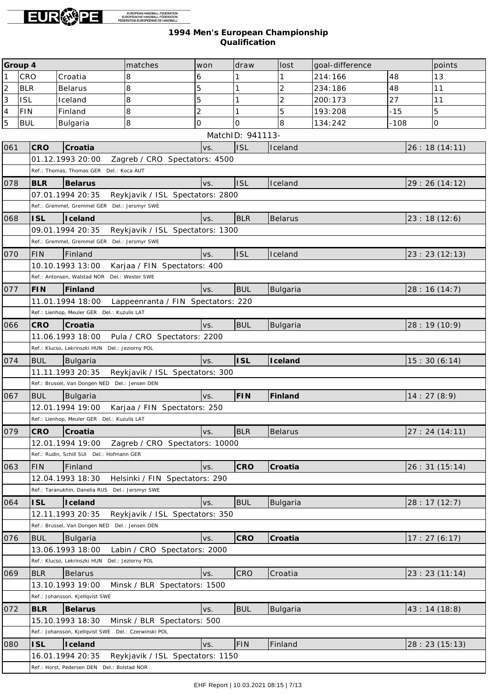

| Group 4        |            |                                                      | matches                            | won            | draw             | lost            | goal-difference |        | points       |
|----------------|------------|------------------------------------------------------|------------------------------------|----------------|------------------|-----------------|-----------------|--------|--------------|
| $\mathbf{1}$   | CRO        | Croatia                                              | 8                                  | 6              |                  |                 | 214:166         | 48     | 13           |
| $\overline{c}$ | <b>BLR</b> | <b>Belarus</b>                                       | 8                                  | 5              | 1                | $\overline{2}$  | 234:186         | 48     | 11           |
| $\overline{3}$ | <b>ISL</b> | Iceland                                              | 8                                  | 5              | 1                | $\overline{2}$  | 200:173         | 27     | 11           |
| $\overline{4}$ | <b>FIN</b> | Finland                                              | 8                                  | $\overline{2}$ | 1                | 5               | 193:208         | $-15$  | 5            |
| $\overline{5}$ | <b>BUL</b> | Bulgaria                                             | 8                                  | $\overline{O}$ | O                | 8               | 134:242         | $-108$ | 0            |
|                |            |                                                      |                                    |                | MatchID: 941113- |                 |                 |        |              |
| 061            | <b>CRO</b> | Croatia                                              |                                    | VS.            | <b>ISL</b>       | Iceland         |                 |        | 26:18(14:11) |
|                |            | 01.12.1993 20:00                                     | Zagreb / CRO Spectators: 4500      |                |                  |                 |                 |        |              |
|                |            | Ref.: Thomas, Thomas GER                             | Del.: Koca AUT                     |                |                  |                 |                 |        |              |
| 078            | <b>BLR</b> | Belarus                                              |                                    | VS.            | <b>ISL</b>       | Iceland         |                 |        | 29:26(14:12) |
|                |            | 07.01.1994 20:35                                     | Reykjavik / ISL Spectators: 2800   |                |                  |                 |                 |        |              |
|                |            | Ref.: Gremmel, Gremmel GER Del.: Jersmyr SWE         |                                    |                |                  |                 |                 |        |              |
| 068            | <b>ISL</b> | Iceland                                              |                                    | VS.            | <b>BLR</b>       | <b>Belarus</b>  |                 |        | 23:18(12:6)  |
|                |            | 09.01.1994 20:35                                     | Reykjavik / ISL Spectators: 1300   |                |                  |                 |                 |        |              |
|                |            | Ref.: Gremmel, Gremmel GER Del.: Jersmyr SWE         |                                    |                |                  |                 |                 |        |              |
| 070            | <b>FIN</b> | Finland                                              |                                    | VS.            | <b>ISL</b>       | Iceland         |                 |        | 23:23(12:13) |
|                |            | 10.10.1993 13:00                                     | Karjaa / FIN Spectators: 400       |                |                  |                 |                 |        |              |
|                |            | Ref.: Antonsen, Walstad NOR Del.: Wester SWE         |                                    |                |                  |                 |                 |        |              |
| 077            | <b>FIN</b> | Finland                                              |                                    | VS.            | <b>BUL</b>       | <b>Bulgaria</b> |                 |        | 28:16(14:7)  |
|                |            | 11.01.1994 18:00                                     | Lappeenranta / FIN Spectators: 220 |                |                  |                 |                 |        |              |
|                |            | Ref.: Lienhop, Meuler GER Del.: Kuzulis LAT          |                                    |                |                  |                 |                 |        |              |
| 066            | <b>CRO</b> | Croatia                                              |                                    | VS.            | <b>BUL</b>       | Bulgaria        |                 |        | 28:19 (10:9) |
|                |            | 11.06.1993 18:00                                     | Pula / CRO Spectators: 2200        |                |                  |                 |                 |        |              |
|                |            | Ref.: Klucso, Lekrinszki HUN Del.: Jeziorny POL      |                                    |                |                  |                 |                 |        |              |
| 074            | <b>BUL</b> | Bulgaria                                             |                                    | VS.            | <b>ISL</b>       | Iceland         |                 |        | 15:30(6:14)  |
|                |            | 11.11.1993 20:35                                     | Reykjavik / ISL Spectators: 300    |                |                  |                 |                 |        |              |
|                |            | Ref.: Brussel, Van Dongen NED Del.: Jensen DEN       |                                    |                |                  |                 |                 |        |              |
| 067            | <b>BUL</b> | Bulgaria                                             |                                    | VS.            | FIN              | Finland         |                 |        | 14:27(8:9)   |
|                |            | 12.01.1994 19:00                                     | Karjaa / FIN Spectators: 250       |                |                  |                 |                 |        |              |
|                |            | Ref.: Lienhop, Meuler GER Del.: Kuzulis LAT          |                                    |                |                  |                 |                 |        |              |
| 079            | CRO        | Croatia                                              |                                    | VS.            | <b>BLR</b>       | <b>Belarus</b>  |                 |        | 27:24(14:11) |
|                |            | 12.01.1994 19:00                                     | Zagreb / CRO Spectators: 10000     |                |                  |                 |                 |        |              |
|                |            | Ref.: Rudin, Schill SUI Del.: Hofmann GER            |                                    |                |                  |                 |                 |        |              |
| 063            | <b>FIN</b> | Finland                                              |                                    | VS.            | CRO              | Croatia         |                 |        | 26:31(15:14) |
|                |            | 12.04.1993 18:30                                     | Helsinki / FIN Spectators: 290     |                |                  |                 |                 |        |              |
|                |            | Ref.: Taranukhin, Danelia RUS Del.: Jersmyr SWE      |                                    |                |                  |                 |                 |        |              |
| 064            | <b>ISL</b> | Iceland                                              |                                    | VS.            | <b>BUL</b>       | <b>Bulgaria</b> |                 |        | 28:17(12:7)  |
|                |            | 12.11.1993 20:35                                     | Reykjavik / ISL Spectators: 350    |                |                  |                 |                 |        |              |
|                |            | Ref.: Brussel, Van Dongen NED Del.: Jensen DEN       |                                    |                |                  |                 |                 |        |              |
| 076            | <b>BUL</b> | Bulgaria                                             |                                    | VS.            | CRO              | Croatia         |                 |        | 17:27(6:17)  |
|                |            | 13.06.1993 18:00                                     | Labin / CRO Spectators: 2000       |                |                  |                 |                 |        |              |
|                |            | Ref.: Klucso, Lekrinszki HUN Del.: Jeziorny POL      |                                    |                |                  |                 |                 |        |              |
| 069            | <b>BLR</b> | Belarus                                              |                                    | VS.            | CRO              | Croatia         |                 |        | 23:23(11:14) |
|                |            | 13.10.1993 19:00                                     | Minsk / BLR Spectators: 1500       |                |                  |                 |                 |        |              |
|                |            | Ref.: Johansson, Kjellqvist SWE                      |                                    |                |                  |                 |                 |        |              |
| 072            | <b>BLR</b> | Belarus                                              |                                    | VS.            | <b>BUL</b>       | <b>Bulgaria</b> |                 |        | 43:14(18:8)  |
|                |            | 15.10.1993 18:30                                     | Minsk / BLR Spectators: 500        |                |                  |                 |                 |        |              |
|                |            | Ref.: Johansson, Kjellqvist SWE Del.: Czerwinski POL |                                    |                |                  |                 |                 |        |              |
| 080            | <b>ISL</b> | Iceland                                              |                                    | VS.            | <b>FIN</b>       | Finland         |                 |        | 28:23(15:13) |
|                |            | 16.01.1994 20:35                                     | Reykjavik / ISL Spectators: 1150   |                |                  |                 |                 |        |              |
|                |            | Ref.: Horst, Pedersen DEN Del.: Bolstad NOR          |                                    |                |                  |                 |                 |        |              |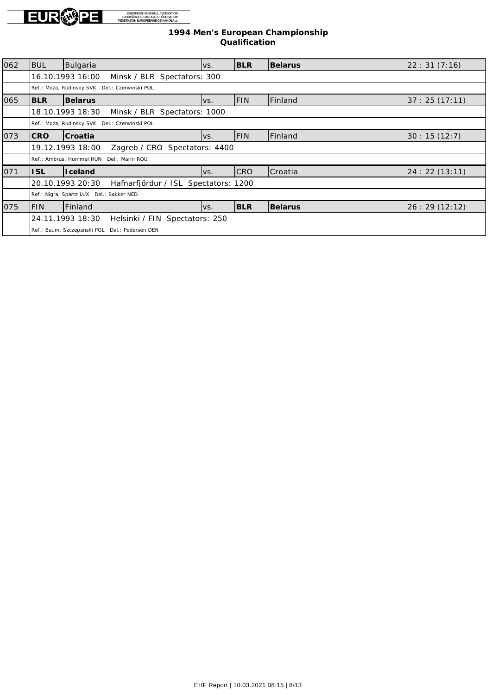

| 062 | Ibul                                               | Bulgaria                                                 | VS. | <b>BLR</b> | <b>Belarus</b> | 22:31(7:16)  |  |  |  |
|-----|----------------------------------------------------|----------------------------------------------------------|-----|------------|----------------|--------------|--|--|--|
|     |                                                    | 16.10.1993 16:00<br>Minsk / BLR Spectators: 300          |     |            |                |              |  |  |  |
|     |                                                    | Ref.: Moza, Rudinsky SVK Del.: Czerwinski POL            |     |            |                |              |  |  |  |
| 065 | IBLR                                               | Belarus                                                  | VS. | <b>FIN</b> | Finland        | 37:25(17:11) |  |  |  |
|     |                                                    | 18.10.1993 18:30<br>Minsk / BLR Spectators: 1000         |     |            |                |              |  |  |  |
|     |                                                    | Ref.: Moza, Rudinsky SVK Del.: Czerwinski POL            |     |            |                |              |  |  |  |
| 073 | <b>CRO</b>                                         | Croatia                                                  | VS. | <b>FIN</b> | <b>Finland</b> | 30:15(12:7)  |  |  |  |
|     | 19.12.1993 18:00<br>Zagreb / CRO Spectators: 4400  |                                                          |     |            |                |              |  |  |  |
|     |                                                    | Ref.: Ambrus, Hummel HUN Del.: Marin ROU                 |     |            |                |              |  |  |  |
| 071 | <b>ISL</b>                                         | <b>I</b> celand                                          | VS. | <b>CRO</b> | Croatia        | 24:22(13:11) |  |  |  |
|     |                                                    | 20.10.1993 20:30<br>Hafnarfjördur / ISL Spectators: 1200 |     |            |                |              |  |  |  |
|     |                                                    | Ref.: Nigra, Spartz LUX Del.: Bakker NED                 |     |            |                |              |  |  |  |
| 075 | IFIN.                                              | Finland                                                  | VS. | <b>BLR</b> | Belarus        | 26:29(12:12) |  |  |  |
|     | 24.11.1993 18:30<br>Helsinki / FIN Spectators: 250 |                                                          |     |            |                |              |  |  |  |
|     |                                                    | Ref.: Baum, Szczepanski POL<br>Del.: Pedersen DEN        |     |            |                |              |  |  |  |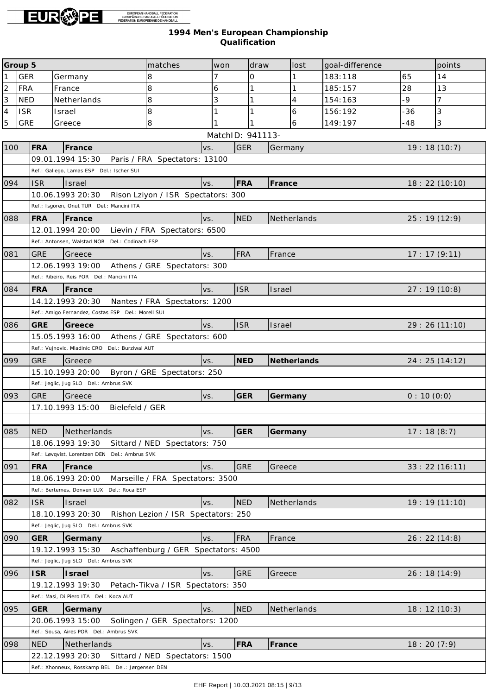

|                          | Group 5    |            |                                                               | matches                              | won              | draw |         | lost        | goal-difference |            | points         |
|--------------------------|------------|------------|---------------------------------------------------------------|--------------------------------------|------------------|------|---------|-------------|-----------------|------------|----------------|
| $\mathbf{1}$             | <b>GER</b> |            | Germany                                                       | 8                                    | 7                | 0    |         |             | 183:118         | 65         | 14             |
| $\overline{c}$           | <b>FRA</b> |            | France                                                        | 8                                    | 6                |      |         |             | 185:157         | 28         | 13             |
| 3                        | <b>NED</b> |            | Netherlands                                                   | 8                                    | 3                |      |         | 4           | 154:163         | -9         | $\overline{7}$ |
| $\overline{\mathcal{L}}$ | <b>ISR</b> |            | Israel                                                        | 8                                    |                  |      |         | 6           | 156:192         | -36        | 3              |
| $\overline{5}$           | <b>GRE</b> |            | Greece                                                        | $\,8\,$                              |                  |      |         | 6           | 149:197         | -48        | 3              |
|                          |            |            |                                                               |                                      | MatchID: 941113- |      |         |             |                 |            |                |
| 100                      |            | FRA        | France                                                        | VS.                                  | <b>GER</b>       |      | Germany |             |                 |            | 19:18(10:7)    |
|                          |            |            | 09.01.1994 15:30    Paris / FRA Spectators: 13100             |                                      |                  |      |         |             |                 |            |                |
|                          |            |            | Ref.: Gallego, Lamas ESP Del.: Ischer SUI                     |                                      |                  |      |         |             |                 |            |                |
| 094                      |            | <b>ISR</b> | Israel                                                        | VS.                                  | FRA              |      | France  |             |                 |            | 18:22 (10:10)  |
|                          |            |            | 10.06.1993 20:30                                              | Rison Lziyon / ISR Spectators: 300   |                  |      |         |             |                 |            |                |
|                          |            |            | Ref.: Isgören, Onut TUR Del.: Mancini ITA                     |                                      |                  |      |         |             |                 |            |                |
| 088                      |            | FRA        | France                                                        | VS.                                  | <b>NED</b>       |      |         | Netherlands |                 |            | 25:19(12:9)    |
|                          |            |            | 12.01.1994 20:00                                              | Lievin / FRA Spectators: 6500        |                  |      |         |             |                 |            |                |
|                          |            |            | Ref.: Antonsen, Walstad NOR Del.: Codinach ESP                |                                      |                  |      |         |             |                 |            |                |
| 081                      |            | <b>GRE</b> | Greece                                                        | VS.                                  | <b>FRA</b>       |      | France  |             |                 |            | 17:17(9:11)    |
|                          |            |            | 12.06.1993 19:00                                              | Athens / GRE Spectators: 300         |                  |      |         |             |                 |            |                |
|                          |            |            | Ref.: Ribeiro, Reis POR Del.: Mancini ITA                     |                                      |                  |      |         |             |                 |            |                |
| 084                      |            | <b>FRA</b> | France                                                        | VS.                                  | <b>ISR</b>       |      | Israel  |             |                 |            | 27:19(10:8)    |
|                          |            |            | 14.12.1993 20:30                                              | Nantes / FRA Spectators: 1200        |                  |      |         |             |                 |            |                |
|                          |            |            | Ref.: Amigo Fernandez, Costas ESP Del.: Morell SUI            |                                      |                  |      |         |             |                 |            |                |
| 086                      |            | <b>GRE</b> | Greece                                                        | VS.                                  | <b>ISR</b>       |      | Israel  |             |                 |            | 29:26 (11:10)  |
|                          |            |            | 15.05.1993 16:00 Athens / GRE Spectators: 600                 |                                      |                  |      |         |             |                 |            |                |
|                          |            |            | Ref.: Vujnovic, Mladinic CRO Del.: Burziwal AUT               |                                      |                  |      |         |             |                 |            |                |
| 099                      |            | <b>GRE</b> | Greece                                                        |                                      | <b>NED</b>       |      |         | Netherlands |                 |            |                |
|                          |            |            | 15.10.1993 20:00                                              | VS.                                  |                  |      |         |             |                 |            | 24: 25 (14:12) |
|                          |            |            | Ref.: Jeglic, Jug SLO Del.: Ambrus SVK                        | Byron / GRE Spectators: 250          |                  |      |         |             |                 |            |                |
|                          |            |            |                                                               |                                      |                  |      |         |             |                 |            |                |
| 093                      |            | <b>GRE</b> | Greece<br>17.10.1993 15:00<br>Bielefeld / GER                 | VS.                                  | <b>GER</b>       |      | Germany |             |                 | 0:10(0:0)  |                |
|                          |            |            |                                                               |                                      |                  |      |         |             |                 |            |                |
|                          |            |            |                                                               |                                      | GER              |      |         |             |                 |            |                |
| 085                      |            | NED        | Netherlands<br>18.06.1993 19:30                               | VS.                                  |                  |      | Germany |             |                 | 17:18(8:7) |                |
|                          |            |            | Ref.: Løvqvist, Lorentzen DEN Del.: Ambrus SVK                | Sittard / NED Spectators: 750        |                  |      |         |             |                 |            |                |
|                          |            |            |                                                               |                                      | <b>GRE</b>       |      |         |             |                 |            |                |
| 091                      |            | <b>FRA</b> | France                                                        | VS.                                  |                  |      | Greece  |             |                 |            | 33:22(16:11)   |
|                          |            |            | 18.06.1993 20:00<br>Ref.: Bertemes, Donven LUX Del.: Roca ESP | Marseille / FRA Spectators: 3500     |                  |      |         |             |                 |            |                |
|                          |            |            |                                                               |                                      |                  |      |         |             |                 |            |                |
| 082                      |            | <b>ISR</b> | Israel<br>18.10.1993 20:30                                    | VS.                                  | <b>NED</b>       |      |         | Netherlands |                 |            | 19: 19 (11:10) |
|                          |            |            | Ref.: Jeglic, Jug SLO Del.: Ambrus SVK                        | Rishon Lezion / ISR Spectators: 250  |                  |      |         |             |                 |            |                |
|                          |            |            |                                                               |                                      |                  |      |         |             |                 |            |                |
| 090                      |            | <b>GER</b> | Germany                                                       | VS.                                  | <b>FRA</b>       |      | France  |             |                 |            | 26:22(14:8)    |
|                          |            |            | 19.12.1993 15:30                                              | Aschaffenburg / GER Spectators: 4500 |                  |      |         |             |                 |            |                |
|                          |            |            | Ref.: Jeglic, Jug SLO Del.: Ambrus SVK                        |                                      |                  |      |         |             |                 |            |                |
| 096                      |            | <b>ISR</b> | Israel                                                        | VS.                                  | <b>GRE</b>       |      | Greece  |             |                 |            | 26:18(14:9)    |
|                          |            |            | 19.12.1993 19:30                                              | Petach-Tikva / ISR Spectators: 350   |                  |      |         |             |                 |            |                |
|                          |            |            | Ref.: Masi, Di Piero ITA Del.: Koca AUT                       |                                      |                  |      |         |             |                 |            |                |
| 095                      |            | <b>GER</b> | Germany                                                       | VS.                                  | <b>NED</b>       |      |         | Netherlands |                 |            | 18:12(10:3)    |
|                          |            |            | 20.06.1993 15:00                                              | Solingen / GER Spectators: 1200      |                  |      |         |             |                 |            |                |
|                          |            |            | Ref.: Sousa, Aires POR Del.: Ambrus SVK                       |                                      |                  |      |         |             |                 |            |                |
| 098                      |            | <b>NED</b> | Netherlands                                                   | VS.                                  | <b>FRA</b>       |      | France  |             |                 | 18:20(7:9) |                |
|                          |            |            | 22.12.1993 20:30                                              | Sittard / NED Spectators: 1500       |                  |      |         |             |                 |            |                |
|                          |            |            | Ref.: Xhonneux, Rosskamp BEL Del.: Jørgensen DEN              |                                      |                  |      |         |             |                 |            |                |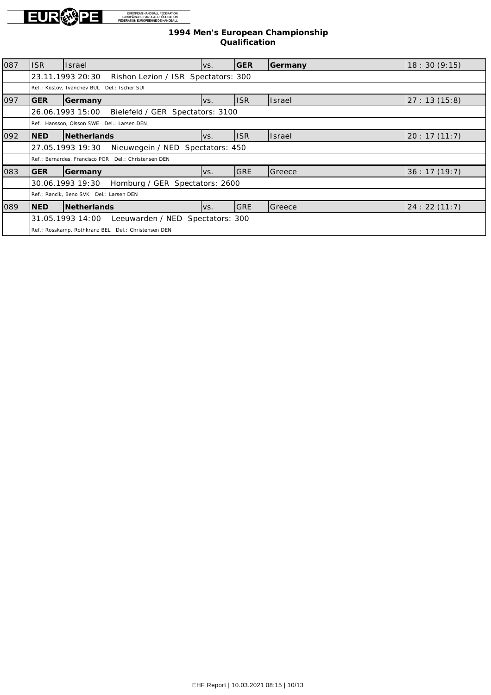

| 087 | lisr                                                 | <b>Israel</b>                                           | lvs. | <b>IGER</b> | Germany | 18:30(9:15) |  |  |  |
|-----|------------------------------------------------------|---------------------------------------------------------|------|-------------|---------|-------------|--|--|--|
|     |                                                      | 23.11.1993 20:30<br>Rishon Lezion / ISR Spectators: 300 |      |             |         |             |  |  |  |
|     |                                                      | Ref.: Kostov, Ivanchev BUL Del.: Ischer SUI             |      |             |         |             |  |  |  |
| 097 | <b>GER</b>                                           | Germany                                                 | IVS. | <b>ISR</b>  | lIsrael | 27:13(15:8) |  |  |  |
|     |                                                      | 26.06.1993 15:00<br>Bielefeld / GER Spectators: 3100    |      |             |         |             |  |  |  |
|     |                                                      | Ref.: Hansson, Olsson SWE Del.: Larsen DEN              |      |             |         |             |  |  |  |
| 092 | INED.                                                | <b>Netherlands</b>                                      | lvs. | <b>ISR</b>  | lIsrael | 20:17(11:7) |  |  |  |
|     | Nieuwegein / NED Spectators: 450<br>27.05.1993 19:30 |                                                         |      |             |         |             |  |  |  |
|     |                                                      | Ref.: Bernardes, Francisco POR Del.: Christensen DEN    |      |             |         |             |  |  |  |
| 083 | lger                                                 | Germany                                                 | lvs. | GRE         | Greece  | 36:17(19:7) |  |  |  |
|     |                                                      | 30.06.1993 19:30<br>Homburg / GER Spectators: 2600      |      |             |         |             |  |  |  |
|     |                                                      | Ref.: Rancik, Beno SVK Del.: Larsen DEN                 |      |             |         |             |  |  |  |
| 089 | INED.                                                | Netherlands                                             | VS.  | <b>GRE</b>  | Greece  | 24:22(11:7) |  |  |  |
|     |                                                      | Leeuwarden / NED Spectators: 300<br>31.05.1993 14:00    |      |             |         |             |  |  |  |
|     |                                                      | Ref.: Rosskamp, Rothkranz BEL Del.: Christensen DEN     |      |             |         |             |  |  |  |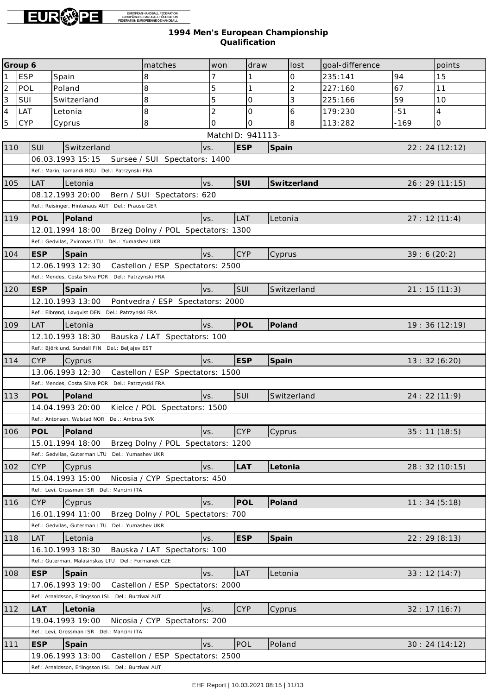

|                | Group 6    |                                                     | matches                            | won              | draw       | lost           | goal-difference |             | points         |
|----------------|------------|-----------------------------------------------------|------------------------------------|------------------|------------|----------------|-----------------|-------------|----------------|
| $\mathbf{1}$   | <b>ESP</b> | Spain                                               | 8                                  | 7                | 1          | $\mathcal{O}$  | 235:141         | 94          | 15             |
| $\overline{c}$ | POL        | Poland                                              | 8                                  | 5                | 1          | $\overline{2}$ | 227:160         | 67          | 11             |
| 3              | SUI        | Switzerland                                         | 8                                  | 5                | 0          | 3              | 225:166         | 59          | 10             |
| $\overline{4}$ | LAT        | Letonia                                             | 8                                  | $\overline{2}$   | $\Omega$   | 6              | 179:230         | $-51$       | 4              |
| $\overline{5}$ | <b>CYP</b> | Cyprus                                              | $\overline{8}$                     | $\Omega$         | $\Omega$   | 8              | 113:282         | -169        | 0              |
|                |            |                                                     |                                    | MatchID: 941113- |            |                |                 |             |                |
| 110            | <b>SUI</b> | Switzerland                                         | VS.                                |                  | <b>ESP</b> | Spain          |                 |             | 22: 24 (12:12) |
|                |            | 06.03.1993 15:15                                    | Sursee / SUI Spectators: 1400      |                  |            |                |                 |             |                |
|                |            | Ref.: Marin, Iamandi ROU Del.: Patrzynski FRA       |                                    |                  |            |                |                 |             |                |
| 105            | LAT        | Letonia                                             | VS.                                | SUI              |            | Switzerland    |                 |             | 26: 29(11:15)  |
|                |            | 08.12.1993 20:00                                    | Bern / SUI Spectators: 620         |                  |            |                |                 |             |                |
|                |            | Ref.: Reisinger, Hintenaus AUT Del.: Prause GER     |                                    |                  |            |                |                 |             |                |
| 119            | POL        | Poland                                              | VS.                                | LAT              |            | Letonia        |                 |             | 27:12(11:4)    |
|                |            | 12.01.1994 18:00                                    | Brzeg Dolny / POL Spectators: 1300 |                  |            |                |                 |             |                |
|                |            | Ref.: Gedvilas, Zvironas LTU Del.: Yumashev UKR     |                                    |                  |            |                |                 |             |                |
| 104            | <b>ESP</b> | Spain                                               | VS.                                | <b>CYP</b>       |            | Cyprus         |                 | 39:6(20:2)  |                |
|                |            | 12.06.1993 12:30                                    | Castellon / ESP Spectators: 2500   |                  |            |                |                 |             |                |
|                |            | Ref.: Mendes, Costa Silva POR Del.: Patrzynski FRA  |                                    |                  |            |                |                 |             |                |
| 120            | <b>ESP</b> | Spain                                               | VS.                                | SUI              |            | Switzerland    |                 |             | 21: 15(11:3)   |
|                |            | 12.10.1993 13:00                                    | Pontvedra / ESP Spectators: 2000   |                  |            |                |                 |             |                |
|                |            | Ref.: Elbrønd, Løvqvist DEN Del.: Patrzynski FRA    |                                    |                  |            |                |                 |             |                |
| 109            | <b>LAT</b> | Letonia                                             | VS.                                |                  | POL        | Poland         |                 |             | 19:36 (12:19)  |
|                |            | 12.10.1993 18:30                                    | Bauska / LAT Spectators: 100       |                  |            |                |                 |             |                |
|                |            | Ref.: Björklund, Sundell FIN Del.: Beljajev EST     |                                    |                  |            |                |                 |             |                |
| 114            | <b>CYP</b> | Cyprus                                              | VS.                                |                  | <b>ESP</b> | Spain          |                 |             | 13:32(6:20)    |
|                |            | 13.06.1993 12:30                                    | Castellon / ESP Spectators: 1500   |                  |            |                |                 |             |                |
|                |            | Ref.: Mendes, Costa Silva POR Del.: Patrzynski FRA  |                                    |                  |            |                |                 |             |                |
| 113            | POL        | Poland                                              | VS.                                | SUI              |            | Switzerland    |                 |             | 24:22(11:9)    |
|                |            | 14.04.1993 20:00                                    | Kielce / POL Spectators: 1500      |                  |            |                |                 |             |                |
|                |            | Ref.: Antonsen, Walstad NOR Del.: Ambrus SVK        |                                    |                  |            |                |                 |             |                |
| 106            | <b>POL</b> | Poland                                              | VS.                                | <b>CYP</b>       |            | Cyprus         |                 | 35:11(18:5) |                |
|                |            | 15.01.1994 18:00                                    | Brzeg Dolny / POL Spectators: 1200 |                  |            |                |                 |             |                |
|                |            | Ref.: Gedvilas, Guterman LTU Del.: Yumashev UKR     |                                    |                  |            |                |                 |             |                |
| 102            | <b>CYP</b> | Cyprus                                              | VS.                                |                  | LAT        | Letonia        |                 |             | 28: 32 (10:15) |
|                |            | 15.04.1993 15:00                                    | Nicosia / CYP Spectators: 450      |                  |            |                |                 |             |                |
|                |            | Ref.: Levi, Grossman ISR Del.: Mancini ITA          |                                    |                  |            |                |                 |             |                |
| 116            | <b>CYP</b> | Cyprus                                              | VS.                                |                  | POL        | Poland         |                 |             | 11:34(5:18)    |
|                |            | 16.01.1994 11:00                                    | Brzeg Dolny / POL Spectators: 700  |                  |            |                |                 |             |                |
|                |            | Ref.: Gedvilas, Guterman LTU Del.: Yumashev UKR     |                                    |                  |            |                |                 |             |                |
| 118            | <b>LAT</b> | Letonia                                             | VS.                                |                  | <b>ESP</b> | Spain          |                 |             | 22:29(8:13)    |
|                |            | 16.10.1993 18:30                                    | Bauska / LAT Spectators: 100       |                  |            |                |                 |             |                |
|                |            | Ref.: Guterman, Malasinskas LTU Del.: Formanek CZE  |                                    |                  |            |                |                 |             |                |
| 108            | <b>ESP</b> | Spain                                               | VS.                                | LAT              |            | Letonia        |                 |             | 33:12(14:7)    |
|                |            | 17.06.1993 19:00                                    | Castellon / ESP Spectators: 2000   |                  |            |                |                 |             |                |
|                |            | Ref.: Arnaldsson, Erlingsson ISL Del.: Burziwal AUT |                                    |                  |            |                |                 |             |                |
| 112            | LAT        | Letonia                                             | VS.                                | <b>CYP</b>       |            | Cyprus         |                 |             | 32:17(16:7)    |
|                |            | 19.04.1993 19:00                                    | Nicosia / CYP Spectators: 200      |                  |            |                |                 |             |                |
|                |            | Ref.: Levi, Grossman ISR Del.: Mancini ITA          |                                    |                  |            |                |                 |             |                |
| 111            | <b>ESP</b> | Spain                                               | VS.                                | POL              |            | Poland         |                 |             | 30:24(14:12)   |
|                |            | 19.06.1993 13:00                                    | Castellon / ESP Spectators: 2500   |                  |            |                |                 |             |                |
|                |            | Ref.: Arnaldsson, Erlingsson ISL Del.: Burziwal AUT |                                    |                  |            |                |                 |             |                |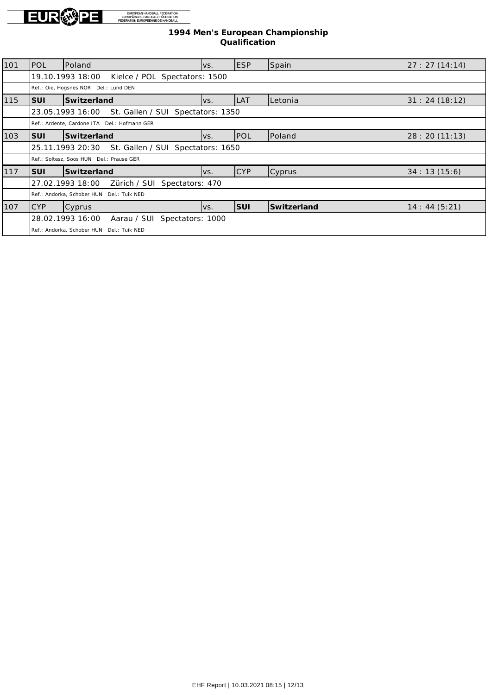

| 101 | Ipol                                                  | Poland                                                | IVS. | <b>ESP</b> | Spain         | 27:27(14:14)   |  |  |  |
|-----|-------------------------------------------------------|-------------------------------------------------------|------|------------|---------------|----------------|--|--|--|
|     |                                                       | 19.10.1993 18:00<br>Kielce / POL Spectators: 1500     |      |            |               |                |  |  |  |
|     |                                                       | Ref.: Oie, Hogsnes NOR Del.: Lund DEN                 |      |            |               |                |  |  |  |
| 115 | <b>SUI</b>                                            | Switzerland                                           | lvs. | LAT        | Letonia       | 31: 24(18:12)  |  |  |  |
|     |                                                       | St. Gallen / SUI Spectators: 1350<br>23.05.1993 16:00 |      |            |               |                |  |  |  |
|     |                                                       | Ref.: Ardente, Cardone ITA Del.: Hofmann GER          |      |            |               |                |  |  |  |
| 103 | ISUI                                                  | Switzerland                                           | IVS. | POL        | Poland        | 28: 20 (11:13) |  |  |  |
|     | St. Gallen / SUI Spectators: 1650<br>25.11.1993 20:30 |                                                       |      |            |               |                |  |  |  |
|     |                                                       | Ref.: Soltesz, Soos HUN Del.: Prause GER              |      |            |               |                |  |  |  |
| 117 | ISUI                                                  | Switzerland                                           | IVS. | <b>CYP</b> | <b>Cyprus</b> | 34:13(15:6)    |  |  |  |
|     |                                                       | 27.02.1993 18:00<br>Zürich / SUI Spectators: 470      |      |            |               |                |  |  |  |
|     |                                                       | Ref.: Andorka, Schober HUN Del.: Tuik NED             |      |            |               |                |  |  |  |
| 107 | ICYP                                                  | <b>Cyprus</b>                                         | IVS. | SUI        | Switzerland   | 14: 44(5:21)   |  |  |  |
|     |                                                       | 28.02.1993 16:00<br>Aarau / SUI Spectators: 1000      |      |            |               |                |  |  |  |
|     |                                                       | Ref.: Andorka, Schober HUN Del.: Tuik NED             |      |            |               |                |  |  |  |